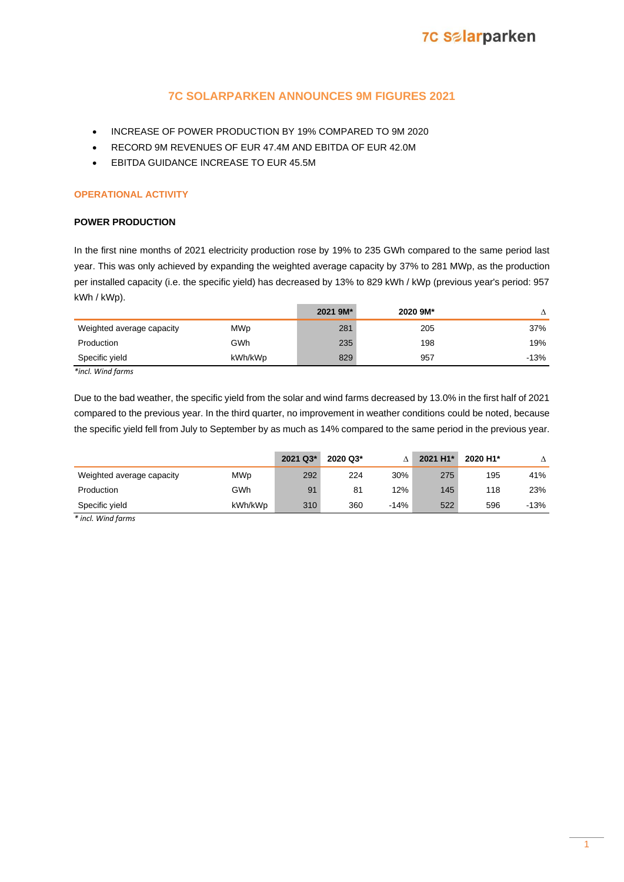### **7C SOLARPARKEN ANNOUNCES 9M FIGURES 2021**

- INCREASE OF POWER PRODUCTION BY 19% COMPARED TO 9M 2020
- RECORD 9M REVENUES OF EUR 47.4M AND EBITDA OF EUR 42.0M
- EBITDA GUIDANCE INCREASE TO EUR 45.5M

### **OPERATIONAL ACTIVITY**

### **POWER PRODUCTION**

In the first nine months of 2021 electricity production rose by 19% to 235 GWh compared to the same period last year. This was only achieved by expanding the weighted average capacity by 37% to 281 MWp, as the production per installed capacity (i.e. the specific yield) has decreased by 13% to 829 kWh / kWp (previous year's period: 957 kWh / kWp).

|                           |            | 2021 9M* | 2020 9M* |        |
|---------------------------|------------|----------|----------|--------|
| Weighted average capacity | <b>MWp</b> | 281      | 205      | 37%    |
| Production                | GWh        | 235      | 198      | 19%    |
| Specific yield            | kWh/kWp    | 829      | 957      | $-13%$ |

*\*incl. Wind farms*

Due to the bad weather, the specific yield from the solar and wind farms decreased by 13.0% in the first half of 2021 compared to the previous year. In the third quarter, no improvement in weather conditions could be noted, because the specific yield fell from July to September by as much as 14% compared to the same period in the previous year.

|                           |            | 2021 Q3* | 2020 Q3* |        | 2021 H1* | 2020 H1* |        |
|---------------------------|------------|----------|----------|--------|----------|----------|--------|
| Weighted average capacity | <b>MWp</b> | 292      | 224      | 30%    | 275      | 195      | 41%    |
| Production                | GWh        | 91       | 81       | 12%    | 145      | 118      | 23%    |
| Specific vield            | kWh/kWp    | 310      | 360      | $-14%$ | 522      | 596      | $-13%$ |

*\* incl. Wind farms*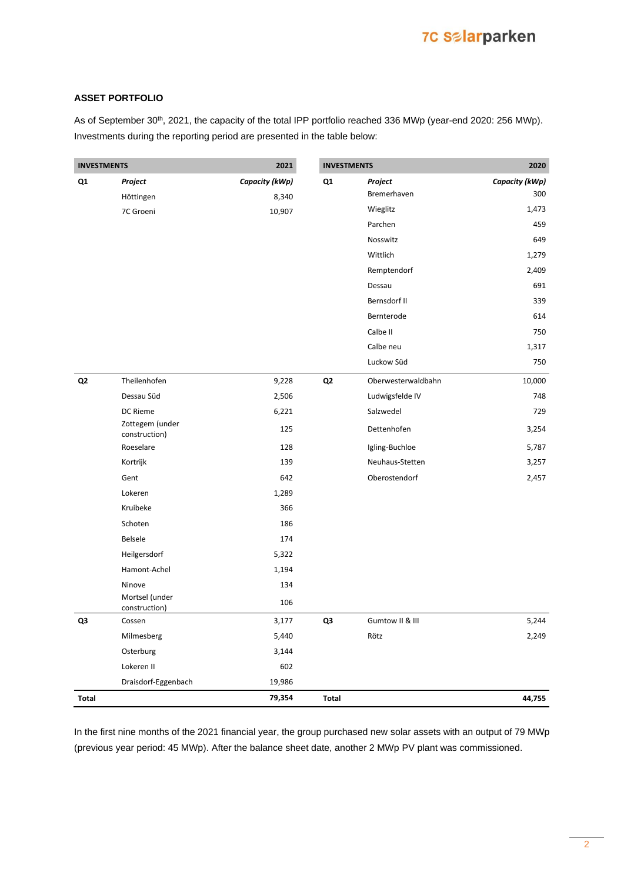# **7C Selarparken**

### **ASSET PORTFOLIO**

As of September 30<sup>th</sup>, 2021, the capacity of the total IPP portfolio reached 336 MWp (year-end 2020: 256 MWp). Investments during the reporting period are presented in the table below:

| <b>INVESTMENTS</b> |                                  | 2021           | <b>INVESTMENTS</b> |                    | 2020           |
|--------------------|----------------------------------|----------------|--------------------|--------------------|----------------|
| Q1                 | Project                          | Capacity (kWp) | Q1                 | Project            | Capacity (kWp) |
|                    | Höttingen                        | 8,340          |                    | Bremerhaven        | 300            |
|                    | 7C Groeni                        | 10,907         |                    | Wieglitz           | 1,473          |
|                    |                                  |                |                    | Parchen            | 459            |
|                    |                                  |                |                    | Nosswitz           | 649            |
|                    |                                  |                |                    | Wittlich           | 1,279          |
|                    |                                  |                |                    | Remptendorf        | 2,409          |
|                    |                                  |                |                    | Dessau             | 691            |
|                    |                                  |                |                    | Bernsdorf II       | 339            |
|                    |                                  |                |                    | Bernterode         | 614            |
|                    |                                  |                |                    | Calbe II           | 750            |
|                    |                                  |                |                    | Calbe neu          | 1,317          |
|                    |                                  |                |                    | Luckow Süd         | 750            |
| Q <sub>2</sub>     | Theilenhofen                     | 9,228          | Q <sub>2</sub>     | Oberwesterwaldbahn | 10,000         |
|                    | Dessau Süd                       | 2,506          |                    | Ludwigsfelde IV    | 748            |
|                    | DC Rieme                         | 6,221          |                    | Salzwedel          | 729            |
|                    | Zottegem (under<br>construction) | 125            |                    | Dettenhofen        | 3,254          |
|                    | Roeselare                        | 128            |                    | Igling-Buchloe     | 5,787          |
|                    | Kortrijk                         | 139            |                    | Neuhaus-Stetten    | 3,257          |
|                    | Gent                             | 642            |                    | Oberostendorf      | 2,457          |
|                    | Lokeren                          | 1,289          |                    |                    |                |
|                    | Kruibeke                         | 366            |                    |                    |                |
|                    | Schoten                          | 186            |                    |                    |                |
|                    | Belsele                          | 174            |                    |                    |                |
|                    | Heilgersdorf                     | 5,322          |                    |                    |                |
|                    | Hamont-Achel                     | 1,194          |                    |                    |                |
|                    | Ninove                           | 134            |                    |                    |                |
|                    | Mortsel (under<br>construction)  | 106            |                    |                    |                |
| Q3                 | Cossen                           | 3,177          | Q3                 | Gumtow II & III    | 5,244          |
|                    | Milmesberg                       | 5,440          |                    | Rötz               | 2,249          |
|                    | Osterburg                        | 3,144          |                    |                    |                |
|                    | Lokeren II                       | 602            |                    |                    |                |
|                    | Draisdorf-Eggenbach              | 19,986         |                    |                    |                |
| Total              |                                  | 79,354         | Total              |                    | 44,755         |

In the first nine months of the 2021 financial year, the group purchased new solar assets with an output of 79 MWp (previous year period: 45 MWp). After the balance sheet date, another 2 MWp PV plant was commissioned.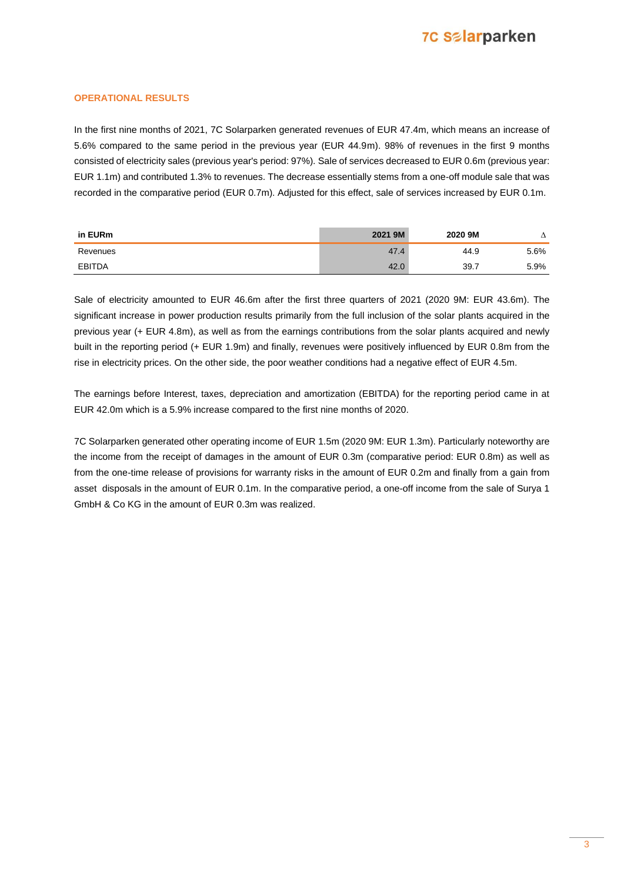## **7C Salarparken**

### **OPERATIONAL RESULTS**

In the first nine months of 2021, 7C Solarparken generated revenues of EUR 47.4m, which means an increase of 5.6% compared to the same period in the previous year (EUR 44.9m). 98% of revenues in the first 9 months consisted of electricity sales (previous year's period: 97%). Sale of services decreased to EUR 0.6m (previous year: EUR 1.1m) and contributed 1.3% to revenues. The decrease essentially stems from a one-off module sale that was recorded in the comparative period (EUR 0.7m). Adjusted for this effect, sale of services increased by EUR 0.1m.

| in EURm  | 2021 9M | 2020 9M |      |
|----------|---------|---------|------|
| Revenues | 47.4    | 44.9    | 5.6% |
| EBITDA   |         | 39.7    | 5.9% |

Sale of electricity amounted to EUR 46.6m after the first three quarters of 2021 (2020 9M: EUR 43.6m). The significant increase in power production results primarily from the full inclusion of the solar plants acquired in the previous year (+ EUR 4.8m), as well as from the earnings contributions from the solar plants acquired and newly built in the reporting period (+ EUR 1.9m) and finally, revenues were positively influenced by EUR 0.8m from the rise in electricity prices. On the other side, the poor weather conditions had a negative effect of EUR 4.5m.

The earnings before Interest, taxes, depreciation and amortization (EBITDA) for the reporting period came in at EUR 42.0m which is a 5.9% increase compared to the first nine months of 2020.

7C Solarparken generated other operating income of EUR 1.5m (2020 9M: EUR 1.3m). Particularly noteworthy are the income from the receipt of damages in the amount of EUR 0.3m (comparative period: EUR 0.8m) as well as from the one-time release of provisions for warranty risks in the amount of EUR 0.2m and finally from a gain from asset disposals in the amount of EUR 0.1m. In the comparative period, a one-off income from the sale of Surya 1 GmbH & Co KG in the amount of EUR 0.3m was realized.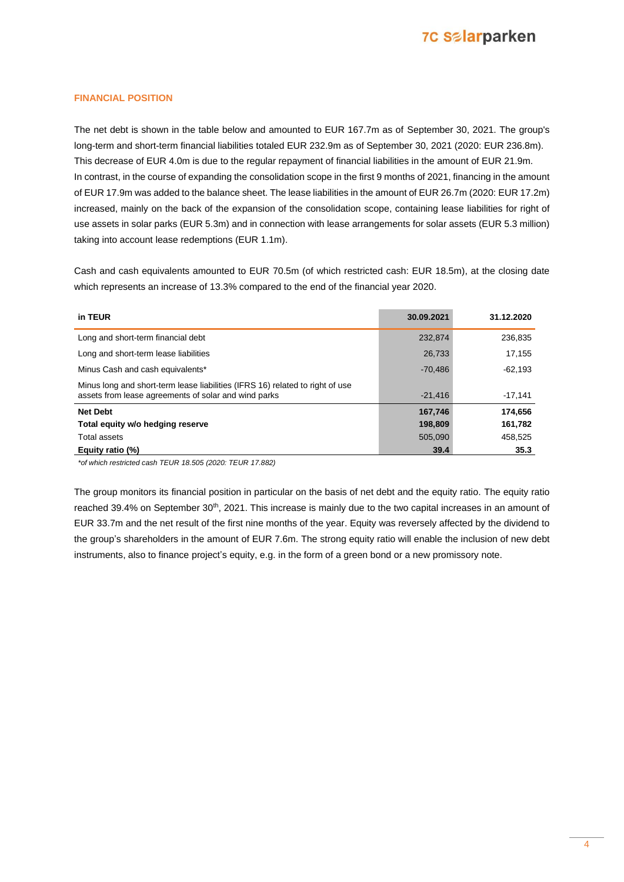## **7C Salarparken**

#### **FINANCIAL POSITION**

The net debt is shown in the table below and amounted to EUR 167.7m as of September 30, 2021. The group's long-term and short-term financial liabilities totaled EUR 232.9m as of September 30, 2021 (2020: EUR 236.8m). This decrease of EUR 4.0m is due to the regular repayment of financial liabilities in the amount of EUR 21.9m. In contrast, in the course of expanding the consolidation scope in the first 9 months of 2021, financing in the amount of EUR 17.9m was added to the balance sheet. The lease liabilities in the amount of EUR 26.7m (2020: EUR 17.2m) increased, mainly on the back of the expansion of the consolidation scope, containing lease liabilities for right of use assets in solar parks (EUR 5.3m) and in connection with lease arrangements for solar assets (EUR 5.3 million) taking into account lease redemptions (EUR 1.1m).

Cash and cash equivalents amounted to EUR 70.5m (of which restricted cash: EUR 18.5m), at the closing date which represents an increase of 13.3% compared to the end of the financial year 2020.

| in TEUR                                                                                                                               | 30.09.2021 | 31.12.2020 |
|---------------------------------------------------------------------------------------------------------------------------------------|------------|------------|
| Long and short-term financial debt                                                                                                    | 232.874    | 236.835    |
| Long and short-term lease liabilities                                                                                                 | 26,733     | 17.155     |
| Minus Cash and cash equivalents*                                                                                                      | $-70.486$  | $-62.193$  |
| Minus long and short-term lease liabilities (IFRS 16) related to right of use<br>assets from lease agreements of solar and wind parks | $-21.416$  | $-17.141$  |
| <b>Net Debt</b>                                                                                                                       | 167,746    | 174,656    |
| Total equity w/o hedging reserve                                                                                                      | 198,809    | 161,782    |
| Total assets                                                                                                                          | 505.090    | 458.525    |
| Equity ratio (%)                                                                                                                      | 39.4       | 35.3       |

*\*of which restricted cash TEUR 18.505 (2020: TEUR 17.882)* 

The group monitors its financial position in particular on the basis of net debt and the equity ratio. The equity ratio reached 39.4% on September 30<sup>th</sup>, 2021. This increase is mainly due to the two capital increases in an amount of EUR 33.7m and the net result of the first nine months of the year. Equity was reversely affected by the dividend to the group's shareholders in the amount of EUR 7.6m. The strong equity ratio will enable the inclusion of new debt instruments, also to finance project's equity, e.g. in the form of a green bond or a new promissory note.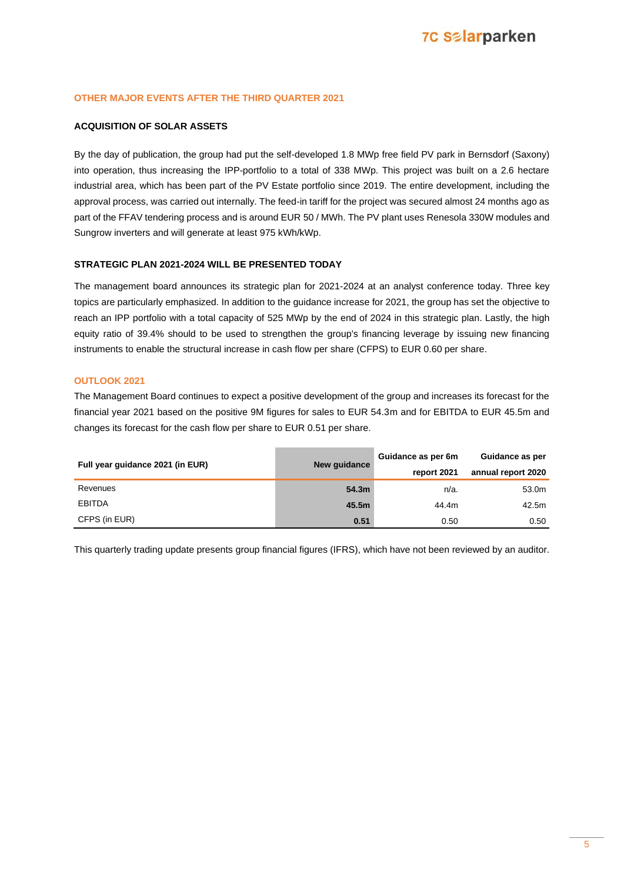### **OTHER MAJOR EVENTS AFTER THE THIRD QUARTER 2021**

### **ACQUISITION OF SOLAR ASSETS**

By the day of publication, the group had put the self-developed 1.8 MWp free field PV park in Bernsdorf (Saxony) into operation, thus increasing the IPP-portfolio to a total of 338 MWp. This project was built on a 2.6 hectare industrial area, which has been part of the PV Estate portfolio since 2019. The entire development, including the approval process, was carried out internally. The feed-in tariff for the project was secured almost 24 months ago as part of the FFAV tendering process and is around EUR 50 / MWh. The PV plant uses Renesola 330W modules and Sungrow inverters and will generate at least 975 kWh/kWp.

#### **STRATEGIC PLAN 2021-2024 WILL BE PRESENTED TODAY**

The management board announces its strategic plan for 2021-2024 at an analyst conference today. Three key topics are particularly emphasized. In addition to the guidance increase for 2021, the group has set the objective to reach an IPP portfolio with a total capacity of 525 MWp by the end of 2024 in this strategic plan. Lastly, the high equity ratio of 39.4% should to be used to strengthen the group's financing leverage by issuing new financing instruments to enable the structural increase in cash flow per share (CFPS) to EUR 0.60 per share.

### **OUTLOOK 2021**

The Management Board continues to expect a positive development of the group and increases its forecast for the financial year 2021 based on the positive 9M figures for sales to EUR 54.3m and for EBITDA to EUR 45.5m and changes its forecast for the cash flow per share to EUR 0.51 per share.

| Full year guidance 2021 (in EUR) | New quidance | Guidance as per 6m | Guidance as per    |  |
|----------------------------------|--------------|--------------------|--------------------|--|
|                                  |              | report 2021        | annual report 2020 |  |
| Revenues                         | 54.3m        | n/a.               | 53.0m              |  |
| <b>EBITDA</b>                    | 45.5m        | 44.4m              | 42.5m              |  |
| CFPS (in EUR)                    | 0.51         | 0.50               | 0.50               |  |

This quarterly trading update presents group financial figures (IFRS), which have not been reviewed by an auditor.